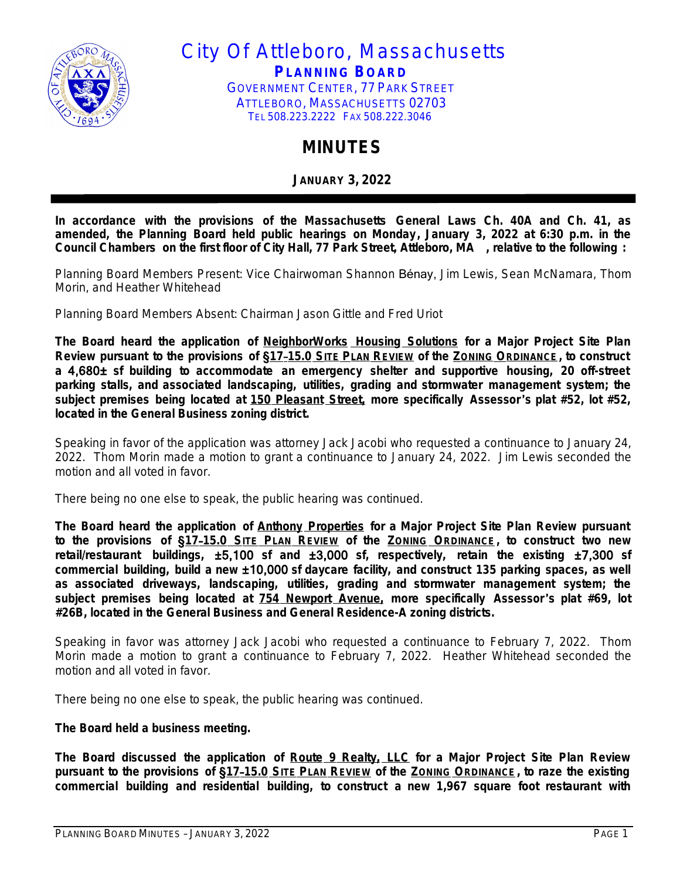

City Of Attleboro, Massachusetts **PLANNING BOARD** GOVERNMENT CENTER, 77 PARK STREET ATTLEBORO, MASSACHUSETTS 02703 TEL 508.223.2222 FAX 508.222.3046

## **MINUTES**

**JANUARY 3, 2022**

**In accordance with the provisions of the Massachusetts General Laws Ch. 40A and Ch. 41, as amended, the Planning Board held public hearings on Monday, January 3, 2022 at 6:30 p.m. in the Council Chambers on the first floor of City Hall, 77 Park Street, Attleboro, MA , relative to the following :**

Planning Board Members Present: Vice Chairwoman Shannon Bénay, Jim Lewis, Sean McNamara, Thom Morin, and Heather Whitehead

Planning Board Members Absent: Chairman Jason Gittle and Fred Uriot

**The Board heard the application of NeighborWorks Housing Solutions for a Major Project Site Plan** Review pursuant to the provisions of §17-15.0 SITE PLAN REVIEW of the ZONING ORDINANCE, to construct **a** 4,680± **sf building to accommodate an emergency shelter and supportive housing, 20 off-street parking stalls, and associated landscaping, utilities, grading and stormwater management system; the subject premises being located at 150 Pleasant Street, more specifically Assessor**'**s plat #52, lot #52, located in the General Business zoning district.**

Speaking in favor of the application was attorney Jack Jacobi who requested a continuance to January 24, 2022. Thom Morin made a motion to grant a continuance to January 24, 2022. Jim Lewis seconded the motion and all voted in favor.

There being no one else to speak, the public hearing was continued.

**The Board heard the application of Anthony Properties for a Major Project Site Plan Review pursuant** to the provisions of §17-15.0 SITE PLAN REVIEW of the ZONING ORDINANCE, to construct two new **retail/restaurant buildings,** ±5,100 **sf and** ±3,000 **sf, respectively, retain the existing** ±7,300 **sf commercial building, build a new** ±10,000 **sf daycare facility, and construct 135 parking spaces, as well as associated driveways, landscaping, utilities, grading and stormwater management system; the subject premises being located at 754 Newport Avenue, more specifically Assessor**'**s plat #69, lot #26B, located in the General Business and General Residence-A zoning districts.**

Speaking in favor was attorney Jack Jacobi who requested a continuance to February 7, 2022. Thom Morin made a motion to grant a continuance to February 7, 2022. Heather Whitehead seconded the motion and all voted in favor.

There being no one else to speak, the public hearing was continued.

## **The Board held a business meeting.**

**The Board discussed the application of Route 9 Realty, LLC for a Major Project Site Plan Review** pursuant to the provisions of §17-15.0 SITE PLAN REVIEW of the ZONING ORDINANCE, to raze the existing **commercial building and residential building, to construct a new 1,967 square foot restaurant with**